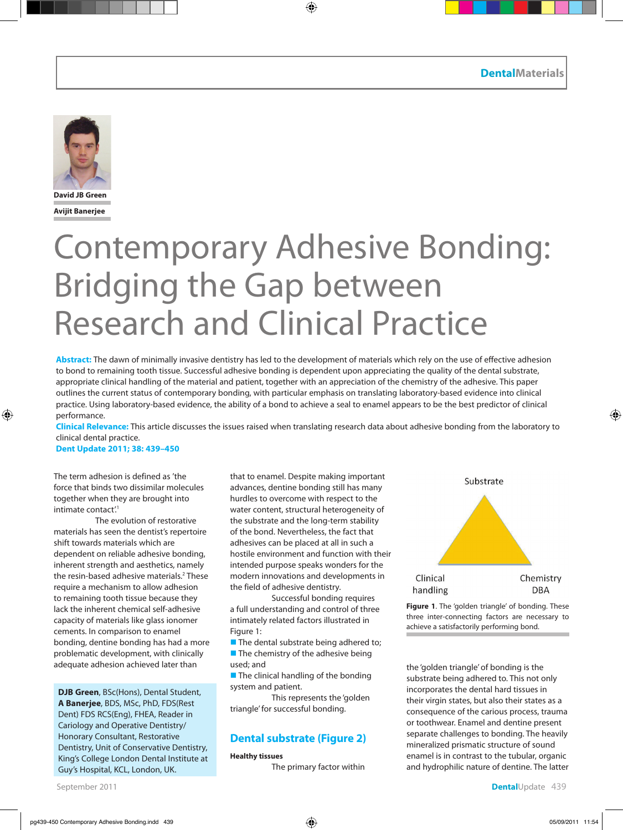

**Avijit Banerjee**

# Contemporary Adhesive Bonding: Bridging the Gap between Research and Clinical Practice

**Abstract:** The dawn of minimally invasive dentistry has led to the development of materials which rely on the use of effective adhesion to bond to remaining tooth tissue. Successful adhesive bonding is dependent upon appreciating the quality of the dental substrate, appropriate clinical handling of the material and patient, together with an appreciation of the chemistry of the adhesive. This paper outlines the current status of contemporary bonding, with particular emphasis on translating laboratory-based evidence into clinical practice. Using laboratory-based evidence, the ability of a bond to achieve a seal to enamel appears to be the best predictor of clinical performance.

**Clinical Relevance:** This article discusses the issues raised when translating research data about adhesive bonding from the laboratory to clinical dental practice.

# **Dent Update 2011; 38: 439–450**

The term adhesion is defined as 'the force that binds two dissimilar molecules together when they are brought into intimate contact'.<sup>1</sup>

The evolution of restorative materials has seen the dentist's repertoire shift towards materials which are dependent on reliable adhesive bonding, inherent strength and aesthetics, namely the resin-based adhesive materials.<sup>2</sup> These require a mechanism to allow adhesion to remaining tooth tissue because they lack the inherent chemical self-adhesive capacity of materials like glass ionomer cements. In comparison to enamel bonding, dentine bonding has had a more problematic development, with clinically adequate adhesion achieved later than

**DJB Green**, BSc(Hons), Dental Student, **A Banerjee**, BDS, MSc, PhD, FDS(Rest Dent) FDS RCS(Eng), FHEA, Reader in Cariology and Operative Dentistry/ Honorary Consultant, Restorative Dentistry, Unit of Conservative Dentistry, King's College London Dental Institute at Guy's Hospital, KCL, London, UK.

that to enamel. Despite making important advances, dentine bonding still has many hurdles to overcome with respect to the water content, structural heterogeneity of the substrate and the long-term stability of the bond. Nevertheless, the fact that adhesives can be placed at all in such a hostile environment and function with their intended purpose speaks wonders for the modern innovations and developments in the field of adhesive dentistry.

Successful bonding requires a full understanding and control of three intimately related factors illustrated in Figure 1:

 $\blacksquare$  The dental substrate being adhered to;  $\blacksquare$  The chemistry of the adhesive being used; and

 $\blacksquare$  The clinical handling of the bonding system and patient.

This represents the 'golden triangle' for successful bonding.

# **Dental substrate (Figure 2)**

**Healthy tissues**

The primary factor within



**Figure 1**. The 'golden triangle' of bonding. These three inter-connecting factors are necessary to achieve a satisfactorily performing bond.

the 'golden triangle' of bonding is the substrate being adhered to. This not only incorporates the dental hard tissues in their virgin states, but also their states as a consequence of the carious process, trauma or toothwear. Enamel and dentine present separate challenges to bonding. The heavily mineralized prismatic structure of sound enamel is in contrast to the tubular, organic and hydrophilic nature of dentine. The latter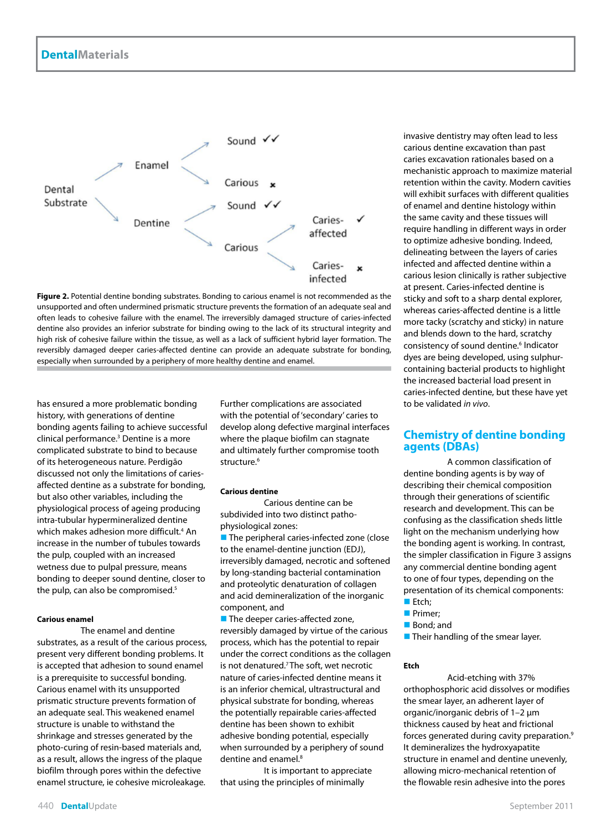

**Figure 2.** Potential dentine bonding substrates. Bonding to carious enamel is not recommended as the unsupported and often undermined prismatic structure prevents the formation of an adequate seal and often leads to cohesive failure with the enamel. The irreversibly damaged structure of caries-infected dentine also provides an inferior substrate for binding owing to the lack of its structural integrity and high risk of cohesive failure within the tissue, as well as a lack of sufficient hybrid layer formation. The reversibly damaged deeper caries-affected dentine can provide an adequate substrate for bonding, especially when surrounded by a periphery of more healthy dentine and enamel.

has ensured a more problematic bonding history, with generations of dentine bonding agents failing to achieve successful clinical performance.<sup>3</sup> Dentine is a more complicated substrate to bind to because of its heterogeneous nature. Perdigão discussed not only the limitations of cariesaffected dentine as a substrate for bonding, but also other variables, including the physiological process of ageing producing intra-tubular hypermineralized dentine which makes adhesion more difficult.<sup>4</sup> An increase in the number of tubules towards the pulp, coupled with an increased wetness due to pulpal pressure, means bonding to deeper sound dentine, closer to the pulp, can also be compromised.<sup>5</sup>

## **Carious enamel**

The enamel and dentine substrates, as a result of the carious process, present very different bonding problems. It is accepted that adhesion to sound enamel is a prerequisite to successful bonding. Carious enamel with its unsupported prismatic structure prevents formation of an adequate seal. This weakened enamel structure is unable to withstand the shrinkage and stresses generated by the photo-curing of resin-based materials and, as a result, allows the ingress of the plaque biofilm through pores within the defective enamel structure, ie cohesive microleakage.

Further complications are associated with the potential of 'secondary' caries to develop along defective marginal interfaces where the plaque biofilm can stagnate and ultimately further compromise tooth structure.<sup>6</sup>

## **Carious dentine**

Carious dentine can be subdivided into two distinct pathophysiological zones:

The peripheral caries-infected zone (close to the enamel-dentine junction (EDJ), irreversibly damaged, necrotic and softened by long-standing bacterial contamination and proteolytic denaturation of collagen and acid demineralization of the inorganic component, and

**The deeper caries-affected zone,** reversibly damaged by virtue of the carious process, which has the potential to repair under the correct conditions as the collagen is not denatured.<sup>7</sup> The soft, wet necrotic nature of caries-infected dentine means it is an inferior chemical, ultrastructural and physical substrate for bonding, whereas the potentially repairable caries-affected dentine has been shown to exhibit adhesive bonding potential, especially when surrounded by a periphery of sound dentine and enamel.<sup>8</sup>

It is important to appreciate that using the principles of minimally

invasive dentistry may often lead to less carious dentine excavation than past caries excavation rationales based on a mechanistic approach to maximize material retention within the cavity. Modern cavities will exhibit surfaces with different qualities of enamel and dentine histology within the same cavity and these tissues will require handling in different ways in order to optimize adhesive bonding. Indeed, delineating between the layers of caries infected and affected dentine within a carious lesion clinically is rather subjective at present. Caries-infected dentine is sticky and soft to a sharp dental explorer, whereas caries-affected dentine is a little more tacky (scratchy and sticky) in nature and blends down to the hard, scratchy consistency of sound dentine.<sup>6</sup> Indicator dyes are being developed, using sulphurcontaining bacterial products to highlight the increased bacterial load present in caries-infected dentine, but these have yet to be validated *in vivo*.

# **Chemistry of dentine bonding agents (DBAs)**

A common classification of dentine bonding agents is by way of describing their chemical composition through their generations of scientific research and development. This can be confusing as the classification sheds little light on the mechanism underlying how the bonding agent is working. In contrast, the simpler classification in Figure 3 assigns any commercial dentine bonding agent to one of four types, depending on the presentation of its chemical components:

- Etch: **Primer**;
- Bond; and
- **Their handling of the smear layer.**

## **Etch**

Acid-etching with 37% orthophosphoric acid dissolves or modifies the smear layer, an adherent layer of organic/inorganic debris of 1–2 µm thickness caused by heat and frictional forces generated during cavity preparation.<sup>9</sup> It demineralizes the hydroxyapatite structure in enamel and dentine unevenly, allowing micro-mechanical retention of the flowable resin adhesive into the pores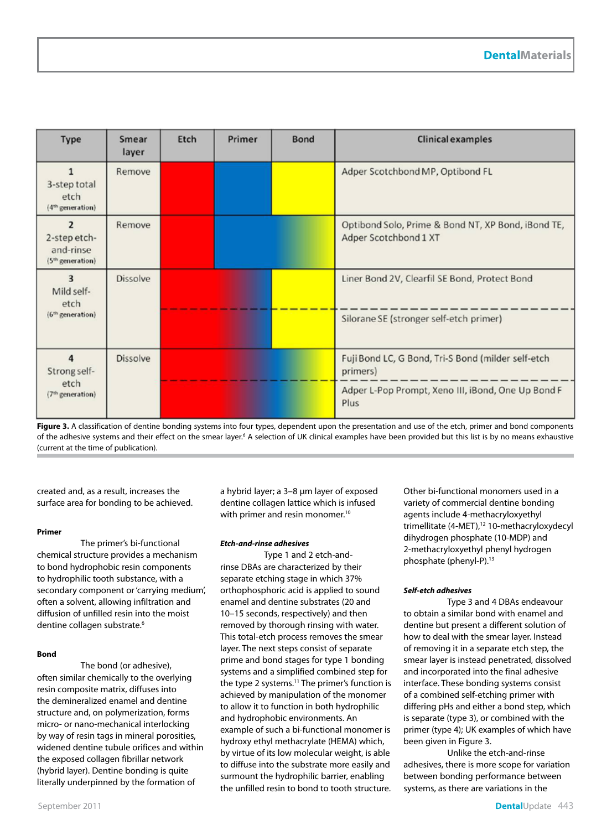| Type                                                                        | Smear<br>layer  | Etch | Primer | <b>Bond</b> | <b>Clinical examples</b>                                                    |
|-----------------------------------------------------------------------------|-----------------|------|--------|-------------|-----------------------------------------------------------------------------|
| $\mathbf{1}$<br>3-step total<br>etch<br>(4 <sup>th</sup> generation)        | Remove          |      |        |             | Adper Scotchbond MP, Optibond FL                                            |
| $\overline{2}$<br>2-step etch-<br>and-rinse<br>(5 <sup>th</sup> generation) | Remove          |      |        |             | Optibond Solo, Prime & Bond NT, XP Bond, iBond TE,<br>Adper Scotchbond 1 XT |
| $\overline{3}$<br>Mild self-<br>etch<br>(6 <sup>th</sup> generation)        | <b>Dissolve</b> |      |        |             | Liner Bond 2V, Clearfil SE Bond, Protect Bond                               |
|                                                                             |                 |      |        |             | Silorane SE (stronger self-etch primer)                                     |
| $\mathbf{a}$<br>Strong self-<br>etch<br>(7 <sup>th</sup> generation)        | <b>Dissolve</b> |      |        |             | Fuji Bond LC, G Bond, Tri-S Bond (milder self-etch<br>primers)              |
|                                                                             |                 |      |        |             | Adper L-Pop Prompt, Xeno III, iBond, One Up Bond F<br>Plus                  |

**Figure 3.** A classification of dentine bonding systems into four types, dependent upon the presentation and use of the etch, primer and bond components of the adhesive systems and their effect on the smear layer.<sup>6</sup> A selection of UK clinical examples have been provided but this list is by no means exhaustive (current at the time of publication).

created and, as a result, increases the surface area for bonding to be achieved.

## **Primer**

The primer's bi-functional chemical structure provides a mechanism to bond hydrophobic resin components to hydrophilic tooth substance, with a secondary component or 'carrying medium', often a solvent, allowing infiltration and diffusion of unfilled resin into the moist dentine collagen substrate.<sup>6</sup>

## **Bond**

The bond (or adhesive), often similar chemically to the overlying resin composite matrix, diffuses into the demineralized enamel and dentine structure and, on polymerization, forms micro- or nano-mechanical interlocking by way of resin tags in mineral porosities, widened dentine tubule orifices and within the exposed collagen fibrillar network (hybrid layer). Dentine bonding is quite literally underpinned by the formation of

a hybrid layer; a 3–8 µm layer of exposed dentine collagen lattice which is infused with primer and resin monomer.<sup>10</sup>

## *Etch-and-rinse adhesives*

Type 1 and 2 etch-andrinse DBAs are characterized by their separate etching stage in which 37% orthophosphoric acid is applied to sound enamel and dentine substrates (20 and 10–15 seconds, respectively) and then removed by thorough rinsing with water. This total-etch process removes the smear layer. The next steps consist of separate prime and bond stages for type 1 bonding systems and a simplified combined step for the type 2 systems.<sup>11</sup> The primer's function is achieved by manipulation of the monomer to allow it to function in both hydrophilic and hydrophobic environments. An example of such a bi-functional monomer is hydroxy ethyl methacrylate (HEMA) which, by virtue of its low molecular weight, is able to diffuse into the substrate more easily and surmount the hydrophilic barrier, enabling the unfilled resin to bond to tooth structure.

Other bi-functional monomers used in a variety of commercial dentine bonding agents include 4-methacryloxyethyl trimellitate (4-MET),<sup>12</sup> 10-methacryloxydecyl dihydrogen phosphate (10-MDP) and 2-methacryloxyethyl phenyl hydrogen phosphate (phenyl-P).13

# *Self-etch adhesives*

Type 3 and 4 DBAs endeavour to obtain a similar bond with enamel and dentine but present a different solution of how to deal with the smear layer. Instead of removing it in a separate etch step, the smear layer is instead penetrated, dissolved and incorporated into the final adhesive interface. These bonding systems consist of a combined self-etching primer with differing pHs and either a bond step, which is separate (type 3), or combined with the primer (type 4); UK examples of which have been given in Figure 3.

Unlike the etch-and-rinse adhesives, there is more scope for variation between bonding performance between systems, as there are variations in the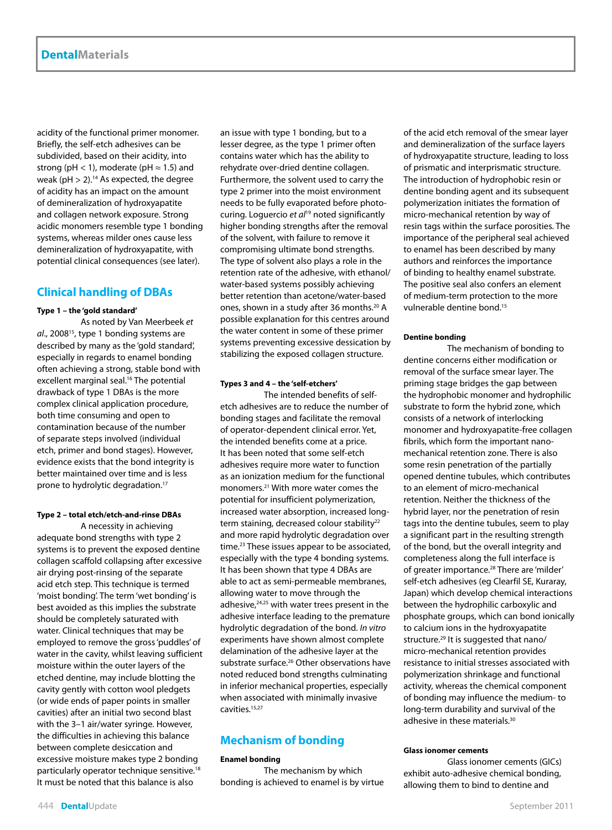acidity of the functional primer monomer. Briefly, the self-etch adhesives can be subdivided, based on their acidity, into strong (pH < 1), moderate (pH  $\approx$  1.5) and weak (pH  $> 2$ ).<sup>14</sup> As expected, the degree of acidity has an impact on the amount of demineralization of hydroxyapatite and collagen network exposure. Strong acidic monomers resemble type 1 bonding systems, whereas milder ones cause less demineralization of hydroxyapatite, with potential clinical consequences (see later).

# **Clinical handling of DBAs**

# **Type 1 – the 'gold standard'**

As noted by Van Meerbeek *et*  al., 2008<sup>15</sup>, type 1 bonding systems are described by many as the 'gold standard', especially in regards to enamel bonding often achieving a strong, stable bond with excellent marginal seal.<sup>16</sup> The potential drawback of type 1 DBAs is the more complex clinical application procedure, both time consuming and open to contamination because of the number of separate steps involved (individual etch, primer and bond stages). However, evidence exists that the bond integrity is better maintained over time and is less prone to hydrolytic degradation.<sup>17</sup>

# **Type 2 – total etch/etch-and-rinse DBAs**

A necessity in achieving adequate bond strengths with type 2 systems is to prevent the exposed dentine collagen scaffold collapsing after excessive air drying post-rinsing of the separate acid etch step. This technique is termed 'moist bonding'. The term 'wet bonding' is best avoided as this implies the substrate should be completely saturated with water. Clinical techniques that may be employed to remove the gross 'puddles' of water in the cavity, whilst leaving sufficient moisture within the outer layers of the etched dentine, may include blotting the cavity gently with cotton wool pledgets (or wide ends of paper points in smaller cavities) after an initial two second blast with the 3–1 air/water syringe. However, the difficulties in achieving this balance between complete desiccation and excessive moisture makes type 2 bonding particularly operator technique sensitive.18 It must be noted that this balance is also

an issue with type 1 bonding, but to a lesser degree, as the type 1 primer often contains water which has the ability to rehydrate over-dried dentine collagen. Furthermore, the solvent used to carry the type 2 primer into the moist environment needs to be fully evaporated before photocuring. Loguercio *et al*19 noted significantly higher bonding strengths after the removal of the solvent, with failure to remove it compromising ultimate bond strengths. The type of solvent also plays a role in the retention rate of the adhesive, with ethanol/ water-based systems possibly achieving better retention than acetone/water-based ones, shown in a study after 36 months.20 A possible explanation for this centres around the water content in some of these primer systems preventing excessive dessication by stabilizing the exposed collagen structure.

## **Types 3 and 4 – the 'self-etchers'**

The intended benefits of selfetch adhesives are to reduce the number of bonding stages and facilitate the removal of operator-dependent clinical error. Yet, the intended benefits come at a price. It has been noted that some self-etch adhesives require more water to function as an ionization medium for the functional monomers.21 With more water comes the potential for insufficient polymerization, increased water absorption, increased longterm staining, decreased colour stability<sup>22</sup> and more rapid hydrolytic degradation over time.<sup>23</sup> These issues appear to be associated, especially with the type 4 bonding systems. It has been shown that type 4 DBAs are able to act as semi-permeable membranes, allowing water to move through the adhesive, $24,25$  with water trees present in the adhesive interface leading to the premature hydrolytic degradation of the bond. *In vitro* experiments have shown almost complete delamination of the adhesive layer at the substrate surface.<sup>26</sup> Other observations have noted reduced bond strengths culminating in inferior mechanical properties, especially when associated with minimally invasive cavities.15,27

# **Mechanism of bonding**

# **Enamel bonding**

The mechanism by which bonding is achieved to enamel is by virtue

of the acid etch removal of the smear layer and demineralization of the surface layers of hydroxyapatite structure, leading to loss of prismatic and interprismatic structure. The introduction of hydrophobic resin or dentine bonding agent and its subsequent polymerization initiates the formation of micro-mechanical retention by way of resin tags within the surface porosities. The importance of the peripheral seal achieved to enamel has been described by many authors and reinforces the importance of binding to healthy enamel substrate. The positive seal also confers an element of medium-term protection to the more vulnerable dentine bond.15

# **Dentine bonding**

The mechanism of bonding to dentine concerns either modification or removal of the surface smear layer. The priming stage bridges the gap between the hydrophobic monomer and hydrophilic substrate to form the hybrid zone, which consists of a network of interlocking monomer and hydroxyapatite-free collagen fibrils, which form the important nanomechanical retention zone. There is also some resin penetration of the partially opened dentine tubules, which contributes to an element of micro-mechanical retention. Neither the thickness of the hybrid layer, nor the penetration of resin tags into the dentine tubules, seem to play a significant part in the resulting strength of the bond, but the overall integrity and completeness along the full interface is of greater importance.<sup>28</sup> There are 'milder' self-etch adhesives (eg Clearfil SE, Kuraray, Japan) which develop chemical interactions between the hydrophilic carboxylic and phosphate groups, which can bond ionically to calcium ions in the hydroxyapatite structure.29 It is suggested that nano/ micro-mechanical retention provides resistance to initial stresses associated with polymerization shrinkage and functional activity, whereas the chemical component of bonding may influence the medium- to long-term durability and survival of the adhesive in these materials.<sup>30</sup>

## **Glass ionomer cements**

Glass ionomer cements (GICs) exhibit auto-adhesive chemical bonding, allowing them to bind to dentine and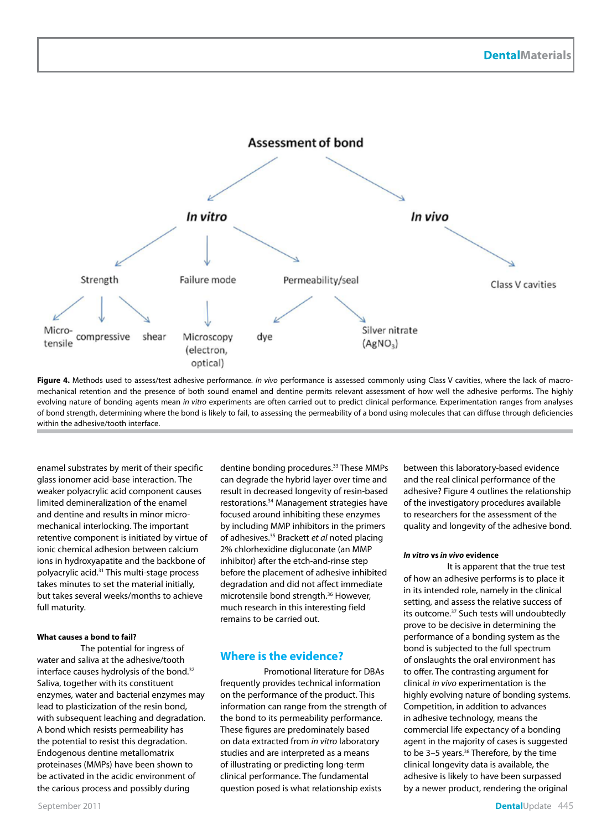

Figure 4. Methods used to assess/test adhesive performance. *In vivo* performance is assessed commonly using Class V cavities, where the lack of macromechanical retention and the presence of both sound enamel and dentine permits relevant assessment of how well the adhesive performs. The highly evolving nature of bonding agents mean *in vitro* experiments are often carried out to predict clinical performance. Experimentation ranges from analyses of bond strength, determining where the bond is likely to fail, to assessing the permeability of a bond using molecules that can diffuse through deficiencies within the adhesive/tooth interface.

enamel substrates by merit of their specific glass ionomer acid-base interaction. The weaker polyacrylic acid component causes limited demineralization of the enamel and dentine and results in minor micromechanical interlocking. The important retentive component is initiated by virtue of ionic chemical adhesion between calcium ions in hydroxyapatite and the backbone of polyacrylic acid.31 This multi-stage process takes minutes to set the material initially, but takes several weeks/months to achieve full maturity.

# **What causes a bond to fail?**

The potential for ingress of water and saliva at the adhesive/tooth interface causes hydrolysis of the bond.<sup>32</sup> Saliva, together with its constituent enzymes, water and bacterial enzymes may lead to plasticization of the resin bond, with subsequent leaching and degradation. A bond which resists permeability has the potential to resist this degradation. Endogenous dentine metallomatrix proteinases (MMPs) have been shown to be activated in the acidic environment of the carious process and possibly during

dentine bonding procedures.<sup>33</sup> These MMPs can degrade the hybrid layer over time and result in decreased longevity of resin-based restorations.34 Management strategies have focused around inhibiting these enzymes by including MMP inhibitors in the primers of adhesives.35 Brackett *et al* noted placing 2% chlorhexidine digluconate (an MMP inhibitor) after the etch-and-rinse step before the placement of adhesive inhibited degradation and did not affect immediate microtensile bond strength.<sup>36</sup> However, much research in this interesting field remains to be carried out.

# **Where is the evidence?**

Promotional literature for DBAs frequently provides technical information on the performance of the product. This information can range from the strength of the bond to its permeability performance. These figures are predominately based on data extracted from *in vitro* laboratory studies and are interpreted as a means of illustrating or predicting long-term clinical performance. The fundamental question posed is what relationship exists

between this laboratory-based evidence and the real clinical performance of the adhesive? Figure 4 outlines the relationship of the investigatory procedures available to researchers for the assessment of the quality and longevity of the adhesive bond.

## *In vitro* **vs** *in vivo* **evidence**

It is apparent that the true test of how an adhesive performs is to place it in its intended role, namely in the clinical setting, and assess the relative success of its outcome.<sup>37</sup> Such tests will undoubtedly prove to be decisive in determining the performance of a bonding system as the bond is subjected to the full spectrum of onslaughts the oral environment has to offer. The contrasting argument for clinical *in vivo* experimentation is the highly evolving nature of bonding systems. Competition, in addition to advances in adhesive technology, means the commercial life expectancy of a bonding agent in the majority of cases is suggested to be 3-5 years.<sup>38</sup> Therefore, by the time clinical longevity data is available, the adhesive is likely to have been surpassed by a newer product, rendering the original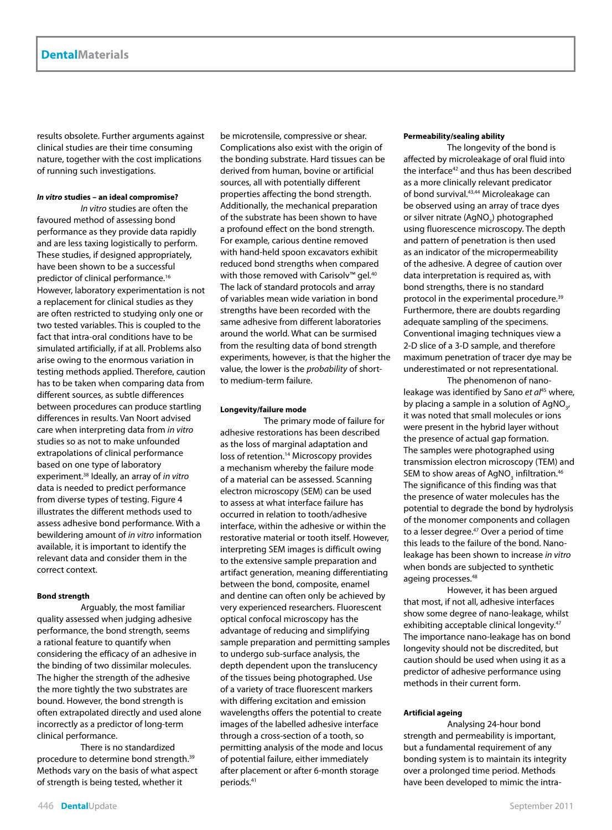results obsolete. Further arguments against clinical studies are their time consuming nature, together with the cost implications of running such investigations.

#### *In vitro* **studies – an ideal compromise?**

*In vitro* studies are often the favoured method of assessing bond performance as they provide data rapidly and are less taxing logistically to perform. These studies, if designed appropriately, have been shown to be a successful predictor of clinical performance.<sup>16</sup> However, laboratory experimentation is not a replacement for clinical studies as they are often restricted to studying only one or two tested variables. This is coupled to the fact that intra-oral conditions have to be simulated artificially, if at all. Problems also arise owing to the enormous variation in testing methods applied. Therefore, caution has to be taken when comparing data from different sources, as subtle differences between procedures can produce startling differences in results. Van Noort advised care when interpreting data from *in vitro* studies so as not to make unfounded extrapolations of clinical performance based on one type of laboratory experiment.38 Ideally, an array of *in vitro* data is needed to predict performance from diverse types of testing. Figure 4 illustrates the different methods used to assess adhesive bond performance. With a bewildering amount of *in vitro* information available, it is important to identify the relevant data and consider them in the correct context.

#### **Bond strength**

Arguably, the most familiar quality assessed when judging adhesive performance, the bond strength, seems a rational feature to quantify when considering the efficacy of an adhesive in the binding of two dissimilar molecules. The higher the strength of the adhesive the more tightly the two substrates are bound. However, the bond strength is often extrapolated directly and used alone incorrectly as a predictor of long-term clinical performance.

There is no standardized procedure to determine bond strength.39 Methods vary on the basis of what aspect of strength is being tested, whether it

be microtensile, compressive or shear. Complications also exist with the origin of the bonding substrate. Hard tissues can be derived from human, bovine or artificial sources, all with potentially different properties affecting the bond strength. Additionally, the mechanical preparation of the substrate has been shown to have a profound effect on the bond strength. For example, carious dentine removed with hand-held spoon excavators exhibit reduced bond strengths when compared with those removed with Carisolv™ gel.<sup>40</sup> The lack of standard protocols and array of variables mean wide variation in bond strengths have been recorded with the same adhesive from different laboratories around the world. What can be surmised from the resulting data of bond strength experiments, however, is that the higher the value, the lower is the *probability* of shortto medium-term failure.

#### **Longevity/failure mode**

The primary mode of failure for adhesive restorations has been described as the loss of marginal adaptation and loss of retention.<sup>14</sup> Microscopy provides a mechanism whereby the failure mode of a material can be assessed. Scanning electron microscopy (SEM) can be used to assess at what interface failure has occurred in relation to tooth/adhesive interface, within the adhesive or within the restorative material or tooth itself. However, interpreting SEM images is difficult owing to the extensive sample preparation and artifact generation, meaning differentiating between the bond, composite, enamel and dentine can often only be achieved by very experienced researchers. Fluorescent optical confocal microscopy has the advantage of reducing and simplifying sample preparation and permitting samples to undergo sub-surface analysis, the depth dependent upon the translucency of the tissues being photographed. Use of a variety of trace fluorescent markers with differing excitation and emission wavelengths offers the potential to create images of the labelled adhesive interface through a cross-section of a tooth, so permitting analysis of the mode and locus of potential failure, either immediately after placement or after 6-month storage periods.41

#### **Permeability/sealing ability**

The longevity of the bond is affected by microleakage of oral fluid into the interface<sup>42</sup> and thus has been described as a more clinically relevant predicator of bond survival.<sup>43,44</sup> Microleakage can be observed using an array of trace dyes or silver nitrate (AgNO<sub>3</sub>) photographed using fluorescence microscopy. The depth and pattern of penetration is then used as an indicator of the micropermeability of the adhesive. A degree of caution over data interpretation is required as, with bond strengths, there is no standard protocol in the experimental procedure.<sup>39</sup> Furthermore, there are doubts regarding adequate sampling of the specimens. Conventional imaging techniques view a 2-D slice of a 3-D sample, and therefore maximum penetration of tracer dye may be underestimated or not representational.

The phenomenon of nanoleakage was identified by Sano *et al<sup>45</sup>* where, by placing a sample in a solution of  $AgNO_{3'}$ it was noted that small molecules or ions were present in the hybrid layer without the presence of actual gap formation. The samples were photographed using transmission electron microscopy (TEM) and SEM to show areas of AgNO<sub>3</sub> infiltration.<sup>46</sup> The significance of this finding was that the presence of water molecules has the potential to degrade the bond by hydrolysis of the monomer components and collagen to a lesser degree.<sup>47</sup> Over a period of time this leads to the failure of the bond. Nanoleakage has been shown to increase *in vitro* when bonds are subjected to synthetic ageing processes.48

However, it has been argued that most, if not all, adhesive interfaces show some degree of nano-leakage, whilst exhibiting acceptable clinical longevity.<sup>47</sup> The importance nano-leakage has on bond longevity should not be discredited, but caution should be used when using it as a predictor of adhesive performance using methods in their current form.

#### **Artificial ageing**

Analysing 24-hour bond strength and permeability is important, but a fundamental requirement of any bonding system is to maintain its integrity over a prolonged time period. Methods have been developed to mimic the intra